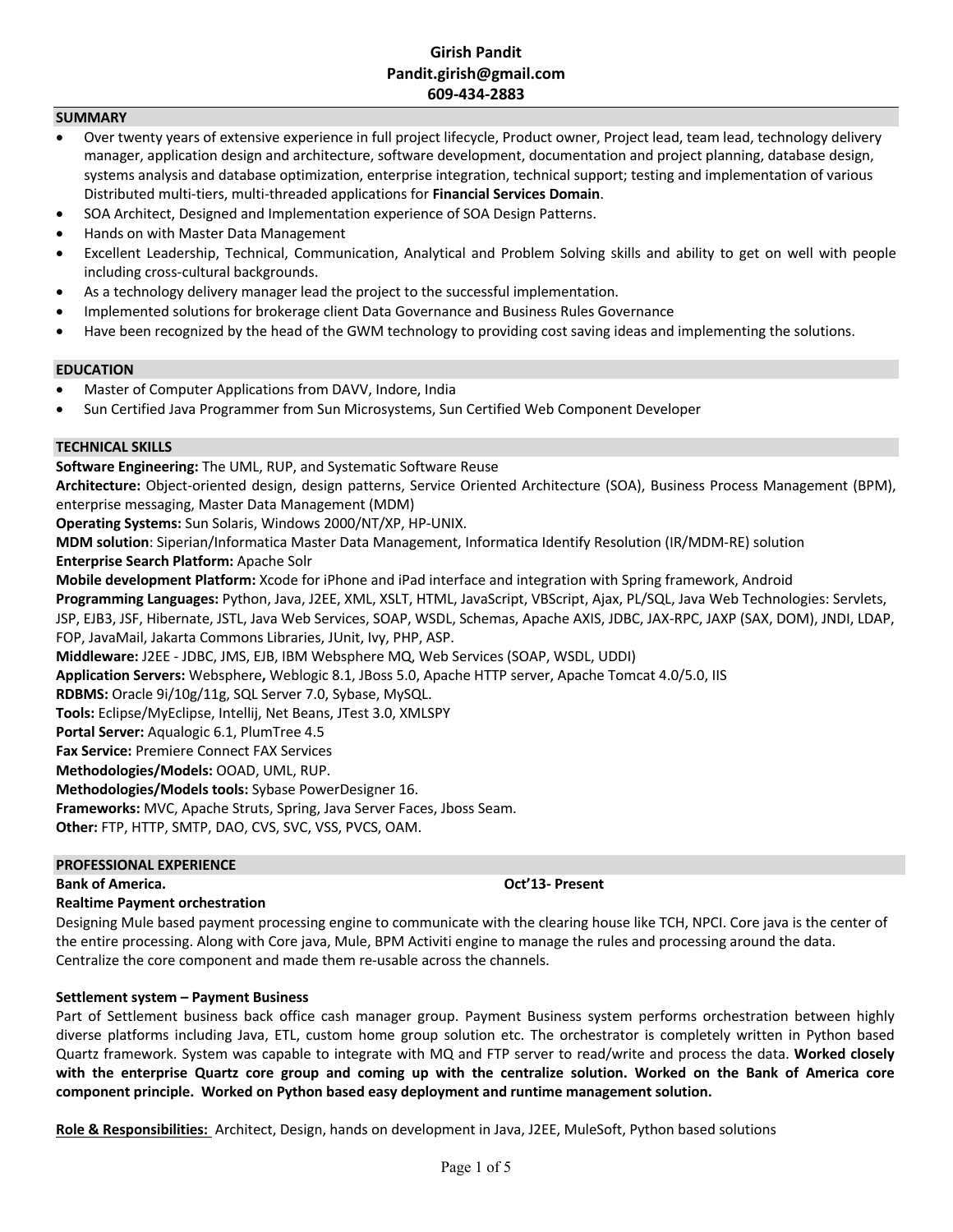## **Girish Pandit Pandit.girish@gmail.com 609-434-2883**

## **SUMMARY**

- Over twenty years of extensive experience in full project lifecycle, Product owner, Project lead, team lead, technology delivery manager, application design and architecture, software development, documentation and project planning, database design, systems analysis and database optimization, enterprise integration, technical support; testing and implementation of various Distributed multi-tiers, multi-threaded applications for **Financial Services Domain**.
- SOA Architect, Designed and Implementation experience of SOA Design Patterns.
- Hands on with Master Data Management
- Excellent Leadership, Technical, Communication, Analytical and Problem Solving skills and ability to get on well with people including cross-cultural backgrounds.
- As a technology delivery manager lead the project to the successful implementation.
- Implemented solutions for brokerage client Data Governance and Business Rules Governance
- Have been recognized by the head of the GWM technology to providing cost saving ideas and implementing the solutions.

## **EDUCATION**

- Master of Computer Applications from DAVV, Indore, India
- Sun Certified Java Programmer from Sun Microsystems, Sun Certified Web Component Developer

## **TECHNICAL SKILLS**

**Software Engineering:** The UML, RUP, and Systematic Software Reuse

**Architecture:** Object-oriented design, design patterns, Service Oriented Architecture (SOA), Business Process Management (BPM), enterprise messaging, Master Data Management (MDM)

**Operating Systems:** Sun Solaris, Windows 2000/NT/XP, HP-UNIX.

**MDM solution**: Siperian/Informatica Master Data Management, Informatica Identify Resolution (IR/MDM-RE) solution

**Enterprise Search Platform:** Apache Solr

**Mobile development Platform:** Xcode for iPhone and iPad interface and integration with Spring framework, Android **Programming Languages:** Python, Java, J2EE, XML, XSLT, HTML, JavaScript, VBScript, Ajax, PL/SQL, Java Web Technologies: Servlets, JSP, EJB3, JSF, Hibernate, JSTL, Java Web Services, SOAP, WSDL, Schemas, Apache AXIS, JDBC, JAX-RPC, JAXP (SAX, DOM), JNDI, LDAP, FOP, JavaMail, Jakarta Commons Libraries, JUnit, Ivy, PHP, ASP. **Middleware:** J2EE - JDBC, JMS, EJB, IBM Websphere MQ, Web Services (SOAP, WSDL, UDDI)

**Application Servers:** Websphere**,** Weblogic 8.1, JBoss 5.0, Apache HTTP server, Apache Tomcat 4.0/5.0, IIS

**RDBMS:** Oracle 9i/10g/11g, SQL Server 7.0, Sybase, MySQL.

**Tools:** Eclipse/MyEclipse, Intellij, Net Beans, JTest 3.0, XMLSPY

**Portal Server:** Aqualogic 6.1, PlumTree 4.5

**Fax Service:** Premiere Connect FAX Services

**Methodologies/Models:** OOAD, UML, RUP.

**Methodologies/Models tools:** Sybase PowerDesigner 16.

**Frameworks:** MVC, Apache Struts, Spring, Java Server Faces, Jboss Seam.

**Other:** FTP, HTTP, SMTP, DAO, CVS, SVC, VSS, PVCS, OAM.

## **PROFESSIONAL EXPERIENCE**

### **Bank of America. Oct'13- Present**

## **Realtime Payment orchestration**

Designing Mule based payment processing engine to communicate with the clearing house like TCH, NPCI. Core java is the center of the entire processing. Along with Core java, Mule, BPM Activiti engine to manage the rules and processing around the data. Centralize the core component and made them re-usable across the channels.

## **Settlement system – Payment Business**

Part of Settlement business back office cash manager group. Payment Business system performs orchestration between highly diverse platforms including Java, ETL, custom home group solution etc. The orchestrator is completely written in Python based Quartz framework. System was capable to integrate with MQ and FTP server to read/write and process the data. **Worked closely with the enterprise Quartz core group and coming up with the centralize solution. Worked on the Bank of America core component principle. Worked on Python based easy deployment and runtime management solution.**

**Role & Responsibilities:** Architect, Design, hands on development in Java, J2EE, MuleSoft, Python based solutions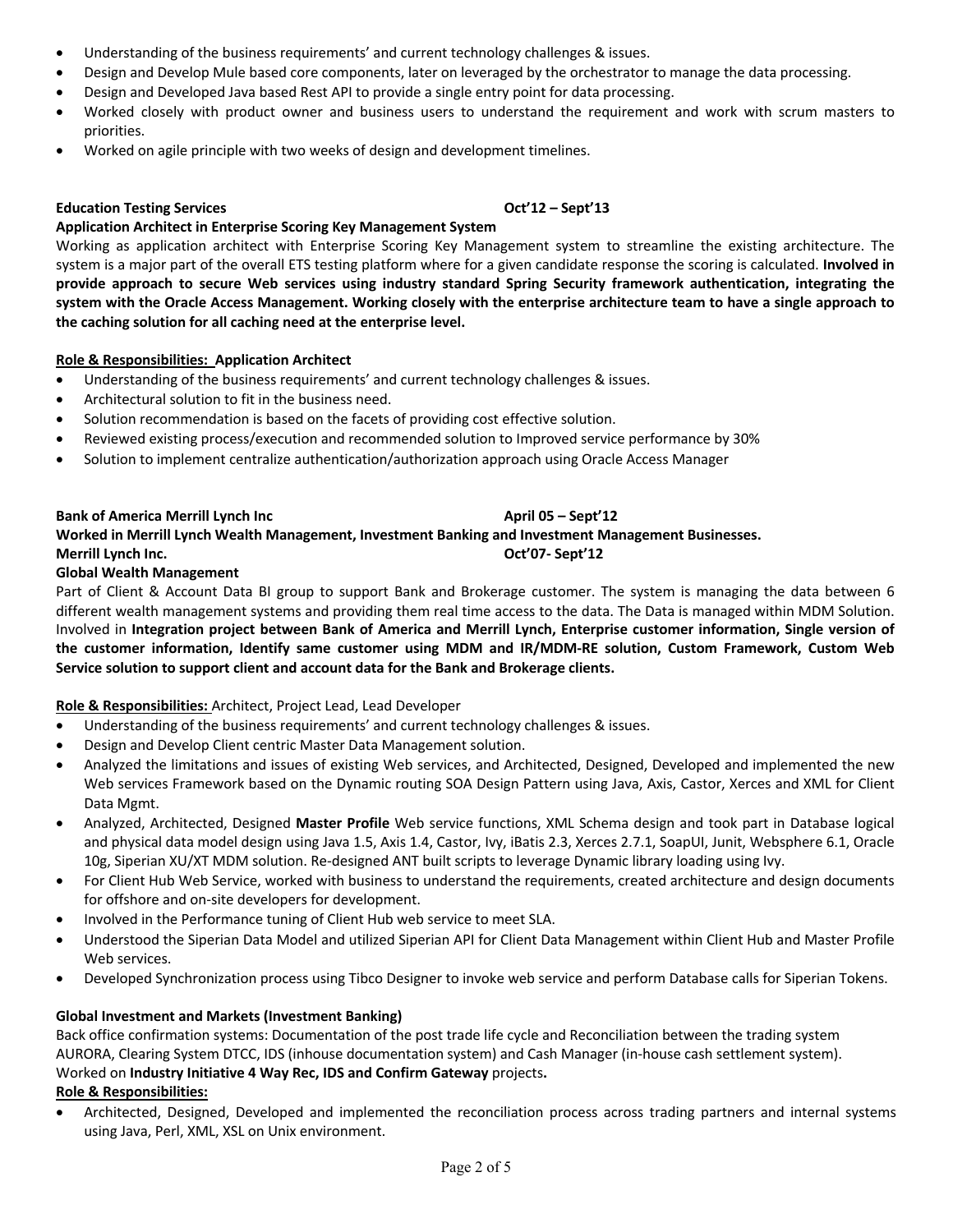- Understanding of the business requirements' and current technology challenges & issues.
- Design and Develop Mule based core components, later on leveraged by the orchestrator to manage the data processing.
- Design and Developed Java based Rest API to provide a single entry point for data processing.
- Worked closely with product owner and business users to understand the requirement and work with scrum masters to priorities.
- Worked on agile principle with two weeks of design and development timelines.

## **Education Testing Services Oct'12 – Sept'13**

## **Application Architect in Enterprise Scoring Key Management System**

Working as application architect with Enterprise Scoring Key Management system to streamline the existing architecture. The system is a major part of the overall ETS testing platform where for a given candidate response the scoring is calculated. **Involved in provide approach to secure Web services using industry standard Spring Security framework authentication, integrating the system with the Oracle Access Management. Working closely with the enterprise architecture team to have a single approach to the caching solution for all caching need at the enterprise level.**

## **Role & Responsibilities:****Application Architect**

- Understanding of the business requirements' and current technology challenges & issues.
- Architectural solution to fit in the business need.
- Solution recommendation is based on the facets of providing cost effective solution.
- Reviewed existing process/execution and recommended solution to Improved service performance by 30%
- Solution to implement centralize authentication/authorization approach using Oracle Access Manager

## **Bank of America Merrill Lynch Inc <b>April 12 April 05 – Sept'12 Worked in Merrill Lynch Wealth Management, Investment Banking and Investment Management Businesses. Merrill Lynch Inc. Oct'07- Sept'12**

## **Global Wealth Management**

Part of Client & Account Data BI group to support Bank and Brokerage customer. The system is managing the data between 6 different wealth management systems and providing them real time access to the data. The Data is managed within MDM Solution. Involved in **Integration project between Bank of America and Merrill Lynch, Enterprise customer information, Single version of the customer information, Identify same customer using MDM and IR/MDM-RE solution, Custom Framework, Custom Web Service solution to support client and account data for the Bank and Brokerage clients.** 

## **Role & Responsibilities:** Architect, Project Lead, Lead Developer

- Understanding of the business requirements' and current technology challenges & issues.
- Design and Develop Client centric Master Data Management solution.
- Analyzed the limitations and issues of existing Web services, and Architected, Designed, Developed and implemented the new Web services Framework based on the Dynamic routing SOA Design Pattern using Java, Axis, Castor, Xerces and XML for Client Data Mgmt.
- Analyzed, Architected, Designed **Master Profile** Web service functions, XML Schema design and took part in Database logical and physical data model design using Java 1.5, Axis 1.4, Castor, Ivy, iBatis 2.3, Xerces 2.7.1, SoapUI, Junit, Websphere 6.1, Oracle 10g, Siperian XU/XT MDM solution. Re-designed ANT built scripts to leverage Dynamic library loading using Ivy.
- For Client Hub Web Service, worked with business to understand the requirements, created architecture and design documents for offshore and on-site developers for development.
- Involved in the Performance tuning of Client Hub web service to meet SLA.
- Understood the Siperian Data Model and utilized Siperian API for Client Data Management within Client Hub and Master Profile Web services.
- Developed Synchronization process using Tibco Designer to invoke web service and perform Database calls for Siperian Tokens.

## **Global Investment and Markets (Investment Banking)**

Back office confirmation systems: Documentation of the post trade life cycle and Reconciliation between the trading system AURORA, Clearing System DTCC, IDS (inhouse documentation system) and Cash Manager (in-house cash settlement system). Worked on **Industry Initiative 4 Way Rec, IDS and Confirm Gateway** projects**. Role & Responsibilities:**

• Architected, Designed, Developed and implemented the reconciliation process across trading partners and internal systems using Java, Perl, XML, XSL on Unix environment.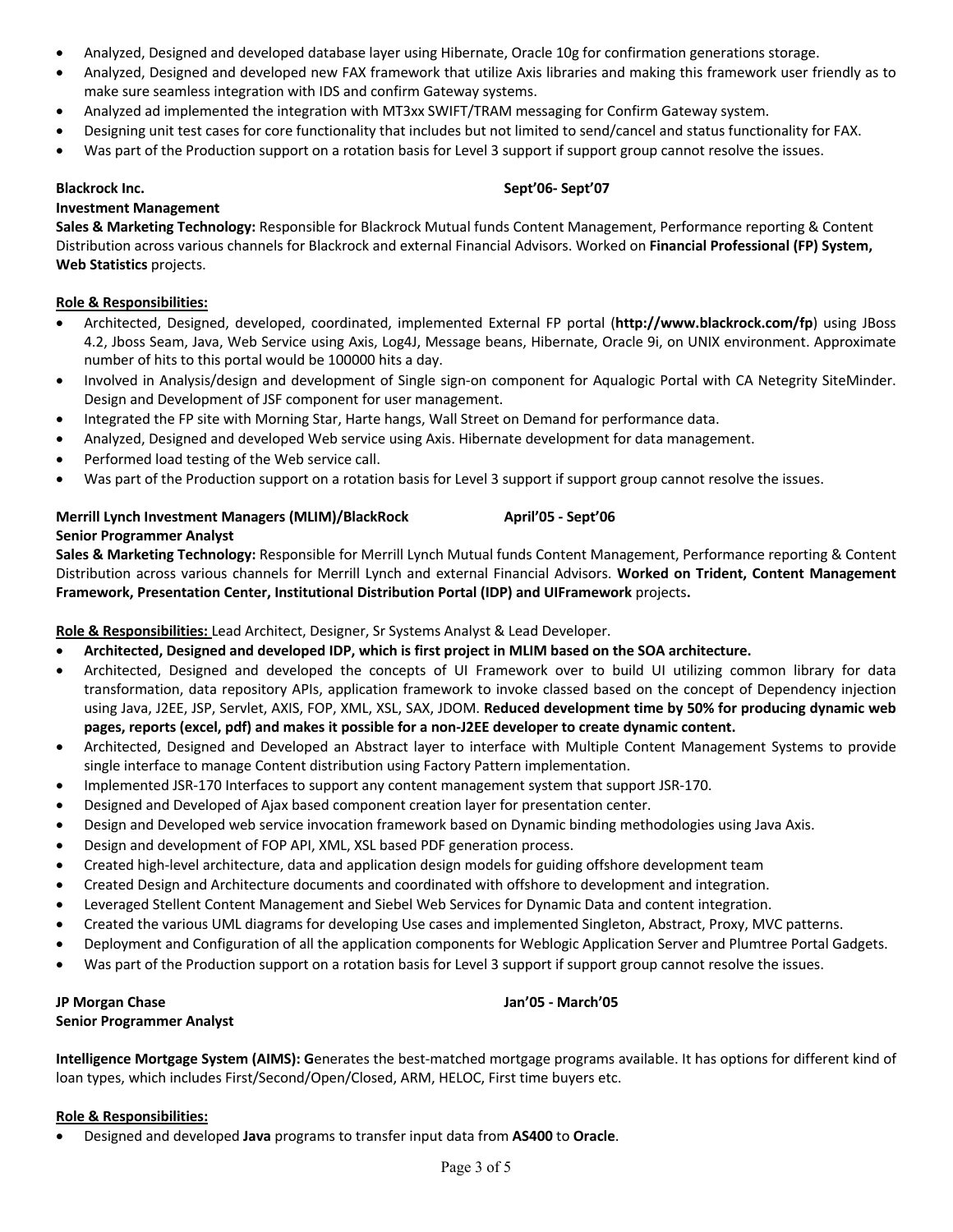- Analyzed, Designed and developed database layer using Hibernate, Oracle 10g for confirmation generations storage.
- Analyzed, Designed and developed new FAX framework that utilize Axis libraries and making this framework user friendly as to make sure seamless integration with IDS and confirm Gateway systems.
- Analyzed ad implemented the integration with MT3xx SWIFT/TRAM messaging for Confirm Gateway system.
- Designing unit test cases for core functionality that includes but not limited to send/cancel and status functionality for FAX.
- Was part of the Production support on a rotation basis for Level 3 support if support group cannot resolve the issues.

## **Blackrock Inc. Sept'06- Sept'07**

## **Investment Management**

**Sales & Marketing Technology:** Responsible for Blackrock Mutual funds Content Management, Performance reporting & Content Distribution across various channels for Blackrock and external Financial Advisors. Worked on **Financial Professional (FP) System, Web Statistics** projects.

## **Role & Responsibilities:**

- Architected, Designed, developed, coordinated, implemented External FP portal (**http://www.blackrock.com/fp**) using JBoss 4.2, Jboss Seam, Java, Web Service using Axis, Log4J, Message beans, Hibernate, Oracle 9i, on UNIX environment. Approximate number of hits to this portal would be 100000 hits a day.
- Involved in Analysis/design and development of Single sign-on component for Aqualogic Portal with CA Netegrity SiteMinder. Design and Development of JSF component for user management.
- Integrated the FP site with Morning Star, Harte hangs, Wall Street on Demand for performance data.
- Analyzed, Designed and developed Web service using Axis. Hibernate development for data management.
- Performed load testing of the Web service call.
- Was part of the Production support on a rotation basis for Level 3 support if support group cannot resolve the issues.

## **Merrill Lynch Investment Managers (MLIM)/BlackRock April'05 - Sept'06 Senior Programmer Analyst**

**Sales & Marketing Technology:** Responsible for Merrill Lynch Mutual funds Content Management, Performance reporting & Content Distribution across various channels for Merrill Lynch and external Financial Advisors. **Worked on Trident, Content Management Framework, Presentation Center, Institutional Distribution Portal (IDP) and UIFramework** projects**.**

## **Role & Responsibilities:** Lead Architect, Designer, Sr Systems Analyst & Lead Developer.

- **Architected, Designed and developed IDP, which is first project in MLIM based on the SOA architecture.**
- Architected, Designed and developed the concepts of UI Framework over to build UI utilizing common library for data transformation, data repository APIs, application framework to invoke classed based on the concept of Dependency injection using Java, J2EE, JSP, Servlet, AXIS, FOP, XML, XSL, SAX, JDOM. **Reduced development time by 50% for producing dynamic web pages, reports (excel, pdf) and makes it possible for a non-J2EE developer to create dynamic content.**
- Architected, Designed and Developed an Abstract layer to interface with Multiple Content Management Systems to provide single interface to manage Content distribution using Factory Pattern implementation.
- Implemented JSR-170 Interfaces to support any content management system that support JSR-170.
- Designed and Developed of Ajax based component creation layer for presentation center.
- Design and Developed web service invocation framework based on Dynamic binding methodologies using Java Axis.
- Design and development of FOP API, XML, XSL based PDF generation process.
- Created high-level architecture, data and application design models for guiding offshore development team
- Created Design and Architecture documents and coordinated with offshore to development and integration.
- Leveraged Stellent Content Management and Siebel Web Services for Dynamic Data and content integration.
- Created the various UML diagrams for developing Use cases and implemented Singleton, Abstract, Proxy, MVC patterns.
- Deployment and Configuration of all the application components for Weblogic Application Server and Plumtree Portal Gadgets.
- Was part of the Production support on a rotation basis for Level 3 support if support group cannot resolve the issues.

# **JP Morgan Chase Jan'05 - March'05**

**Senior Programmer Analyst**

**Intelligence Mortgage System (AIMS): G**enerates the best-matched mortgage programs available. It has options for different kind of loan types, which includes First/Second/Open/Closed, ARM, HELOC, First time buyers etc.

## **Role & Responsibilities:**

• Designed and developed **Java** programs to transfer input data from **AS400** to **Oracle**.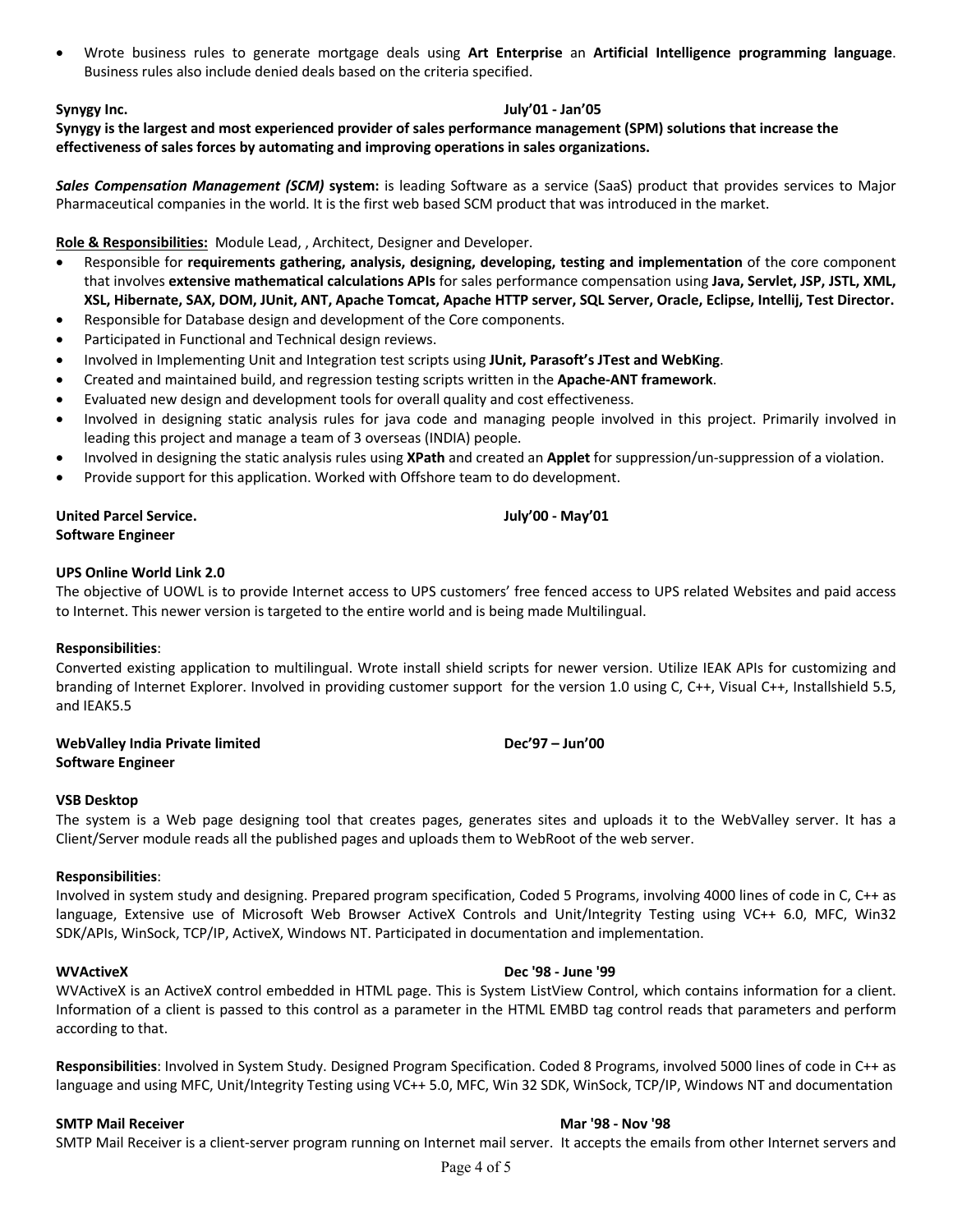• Wrote business rules to generate mortgage deals using **Art Enterprise** an **Artificial Intelligence programming language**. Business rules also include denied deals based on the criteria specified.

## **Synygy Inc. July'01 - Jan'05**

**Synygy is the largest and most experienced provider of sales performance management (SPM) solutions that increase the effectiveness of sales forces by automating and improving operations in sales organizations.**

*Sales Compensation Management (SCM)* **system:** is leading Software as a service (SaaS) product that provides services to Major Pharmaceutical companies in the world. It is the first web based SCM product that was introduced in the market.

## **Role & Responsibilities:** Module Lead, , Architect, Designer and Developer.

- Responsible for **requirements gathering, analysis, designing, developing, testing and implementation** of the core component that involves **extensive mathematical calculations APIs** for sales performance compensation using **Java, Servlet, JSP, JSTL, XML, XSL, Hibernate, SAX, DOM, JUnit, ANT, Apache Tomcat, Apache HTTP server, SQL Server, Oracle, Eclipse, Intellij, Test Director.**
- Responsible for Database design and development of the Core components.
- Participated in Functional and Technical design reviews.
- Involved in Implementing Unit and Integration test scripts using **JUnit, Parasoft's JTest and WebKing**.
- Created and maintained build, and regression testing scripts written in the **Apache-ANT framework**.
- Evaluated new design and development tools for overall quality and cost effectiveness.
- Involved in designing static analysis rules for java code and managing people involved in this project. Primarily involved in leading this project and manage a team of 3 overseas (INDIA) people.
- Involved in designing the static analysis rules using **XPath** and created an **Applet** for suppression/un-suppression of a violation.
- Provide support for this application. Worked with Offshore team to do development.

## **United Parcel Service. July'00 - May'01 Software Engineer**

## **UPS Online World Link 2.0**

The objective of UOWL is to provide Internet access to UPS customers' free fenced access to UPS related Websites and paid access to Internet. This newer version is targeted to the entire world and is being made Multilingual.

### **Responsibilities**:

Converted existing application to multilingual. Wrote install shield scripts for newer version. Utilize IEAK APIs for customizing and branding of Internet Explorer. Involved in providing customer support for the version 1.0 using C, C++, Visual C++, Installshield 5.5, and IEAK5.5

| WebValley India Private limited | Dec'97 - Jun'00 |
|---------------------------------|-----------------|
| <b>Software Engineer</b>        |                 |

### **VSB Desktop**

The system is a Web page designing tool that creates pages, generates sites and uploads it to the WebValley server. It has a Client/Server module reads all the published pages and uploads them to WebRoot of the web server.

### **Responsibilities**:

Involved in system study and designing. Prepared program specification, Coded 5 Programs, involving 4000 lines of code in C, C++ as language, Extensive use of Microsoft Web Browser ActiveX Controls and Unit/Integrity Testing using VC++ 6.0, MFC, Win32 SDK/APIs, WinSock, TCP/IP, ActiveX, Windows NT. Participated in documentation and implementation.

### **WVActiveX Dec '98 - June '99**

WVActiveX is an ActiveX control embedded in HTML page. This is System ListView Control, which contains information for a client. Information of a client is passed to this control as a parameter in the HTML EMBD tag control reads that parameters and perform according to that.

**Responsibilities**: Involved in System Study. Designed Program Specification. Coded 8 Programs, involved 5000 lines of code in C++ as language and using MFC, Unit/Integrity Testing using VC++ 5.0, MFC, Win 32 SDK, WinSock, TCP/IP, Windows NT and documentation

## **SMTP Mail Receiver Mar '98 - Nov '98**

SMTP Mail Receiver is a client-server program running on Internet mail server. It accepts the emails from other Internet servers and